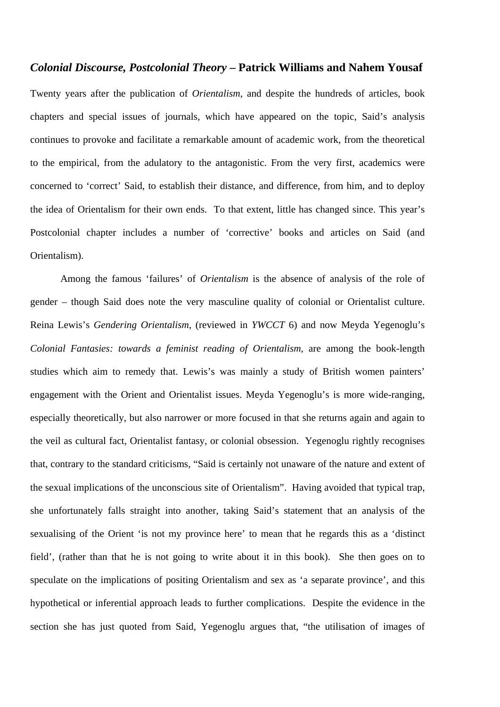## *Colonial Discourse, Postcolonial Theory* **– Patrick Williams and Nahem Yousaf**

Twenty years after the publication of *Orientalism*, and despite the hundreds of articles, book chapters and special issues of journals, which have appeared on the topic, Said's analysis continues to provoke and facilitate a remarkable amount of academic work, from the theoretical to the empirical, from the adulatory to the antagonistic. From the very first, academics were concerned to 'correct' Said, to establish their distance, and difference, from him, and to deploy the idea of Orientalism for their own ends. To that extent, little has changed since. This year's Postcolonial chapter includes a number of 'corrective' books and articles on Said (and Orientalism).

Among the famous 'failures' of *Orientalism* is the absence of analysis of the role of gender – though Said does note the very masculine quality of colonial or Orientalist culture. Reina Lewis's *Gendering Orientalism*, (reviewed in *YWCCT* 6) and now Meyda Yegenoglu's *Colonial Fantasies: towards a feminist reading of Orientalism*, are among the book-length studies which aim to remedy that. Lewis's was mainly a study of British women painters' engagement with the Orient and Orientalist issues. Meyda Yegenoglu's is more wide-ranging, especially theoretically, but also narrower or more focused in that she returns again and again to the veil as cultural fact, Orientalist fantasy, or colonial obsession. Yegenoglu rightly recognises that, contrary to the standard criticisms, "Said is certainly not unaware of the nature and extent of the sexual implications of the unconscious site of Orientalism". Having avoided that typical trap, she unfortunately falls straight into another, taking Said's statement that an analysis of the sexualising of the Orient 'is not my province here' to mean that he regards this as a 'distinct field', (rather than that he is not going to write about it in this book). She then goes on to speculate on the implications of positing Orientalism and sex as 'a separate province', and this hypothetical or inferential approach leads to further complications. Despite the evidence in the section she has just quoted from Said, Yegenoglu argues that, "the utilisation of images of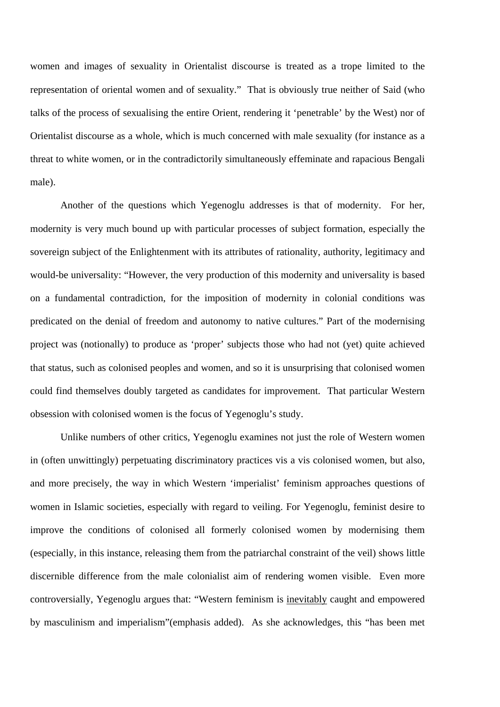women and images of sexuality in Orientalist discourse is treated as a trope limited to the representation of oriental women and of sexuality." That is obviously true neither of Said (who talks of the process of sexualising the entire Orient, rendering it 'penetrable' by the West) nor of Orientalist discourse as a whole, which is much concerned with male sexuality (for instance as a threat to white women, or in the contradictorily simultaneously effeminate and rapacious Bengali male).

Another of the questions which Yegenoglu addresses is that of modernity. For her, modernity is very much bound up with particular processes of subject formation, especially the sovereign subject of the Enlightenment with its attributes of rationality, authority, legitimacy and would-be universality: "However, the very production of this modernity and universality is based on a fundamental contradiction, for the imposition of modernity in colonial conditions was predicated on the denial of freedom and autonomy to native cultures." Part of the modernising project was (notionally) to produce as 'proper' subjects those who had not (yet) quite achieved that status, such as colonised peoples and women, and so it is unsurprising that colonised women could find themselves doubly targeted as candidates for improvement. That particular Western obsession with colonised women is the focus of Yegenoglu's study.

Unlike numbers of other critics, Yegenoglu examines not just the role of Western women in (often unwittingly) perpetuating discriminatory practices vis a vis colonised women, but also, and more precisely, the way in which Western 'imperialist' feminism approaches questions of women in Islamic societies, especially with regard to veiling. For Yegenoglu, feminist desire to improve the conditions of colonised all formerly colonised women by modernising them (especially, in this instance, releasing them from the patriarchal constraint of the veil) shows little discernible difference from the male colonialist aim of rendering women visible. Even more controversially, Yegenoglu argues that: "Western feminism is inevitably caught and empowered by masculinism and imperialism"(emphasis added). As she acknowledges, this "has been met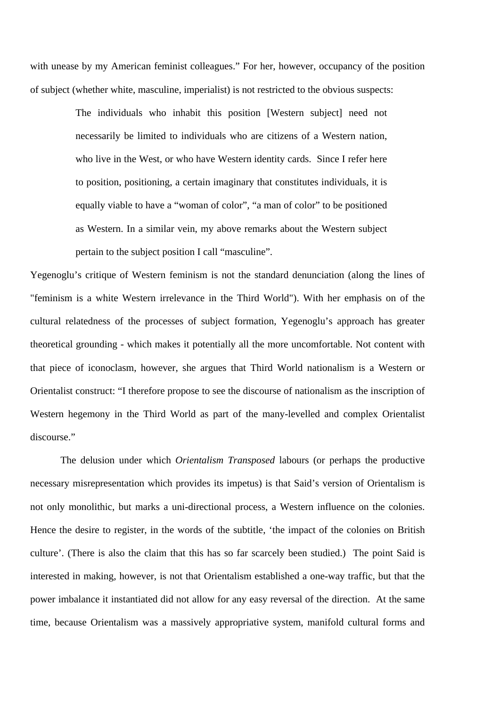with unease by my American feminist colleagues." For her, however, occupancy of the position of subject (whether white, masculine, imperialist) is not restricted to the obvious suspects:

> The individuals who inhabit this position [Western subject] need not necessarily be limited to individuals who are citizens of a Western nation, who live in the West, or who have Western identity cards. Since I refer here to position, positioning, a certain imaginary that constitutes individuals, it is equally viable to have a "woman of color", "a man of color" to be positioned as Western. In a similar vein, my above remarks about the Western subject pertain to the subject position I call "masculine".

Yegenoglu's critique of Western feminism is not the standard denunciation (along the lines of "feminism is a white Western irrelevance in the Third World"). With her emphasis on of the cultural relatedness of the processes of subject formation, Yegenoglu's approach has greater theoretical grounding - which makes it potentially all the more uncomfortable. Not content with that piece of iconoclasm, however, she argues that Third World nationalism is a Western or Orientalist construct: "I therefore propose to see the discourse of nationalism as the inscription of Western hegemony in the Third World as part of the many-levelled and complex Orientalist discourse."

The delusion under which *Orientalism Transposed* labours (or perhaps the productive necessary misrepresentation which provides its impetus) is that Said's version of Orientalism is not only monolithic, but marks a uni-directional process, a Western influence on the colonies. Hence the desire to register, in the words of the subtitle, 'the impact of the colonies on British culture'. (There is also the claim that this has so far scarcely been studied.) The point Said is interested in making, however, is not that Orientalism established a one-way traffic, but that the power imbalance it instantiated did not allow for any easy reversal of the direction. At the same time, because Orientalism was a massively appropriative system, manifold cultural forms and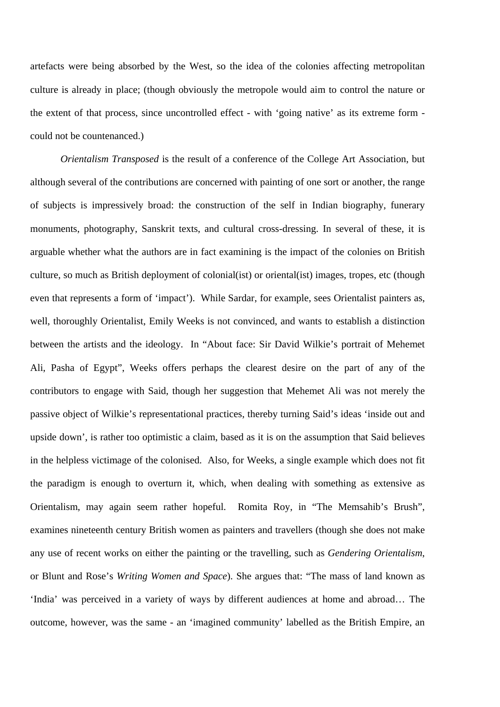artefacts were being absorbed by the West, so the idea of the colonies affecting metropolitan culture is already in place; (though obviously the metropole would aim to control the nature or the extent of that process, since uncontrolled effect - with 'going native' as its extreme form could not be countenanced.)

*Orientalism Transposed* is the result of a conference of the College Art Association, but although several of the contributions are concerned with painting of one sort or another, the range of subjects is impressively broad: the construction of the self in Indian biography, funerary monuments, photography, Sanskrit texts, and cultural cross-dressing. In several of these, it is arguable whether what the authors are in fact examining is the impact of the colonies on British culture, so much as British deployment of colonial(ist) or oriental(ist) images, tropes, etc (though even that represents a form of 'impact'). While Sardar, for example, sees Orientalist painters as, well, thoroughly Orientalist, Emily Weeks is not convinced, and wants to establish a distinction between the artists and the ideology. In "About face: Sir David Wilkie's portrait of Mehemet Ali, Pasha of Egypt", Weeks offers perhaps the clearest desire on the part of any of the contributors to engage with Said, though her suggestion that Mehemet Ali was not merely the passive object of Wilkie's representational practices, thereby turning Said's ideas 'inside out and upside down', is rather too optimistic a claim, based as it is on the assumption that Said believes in the helpless victimage of the colonised. Also, for Weeks, a single example which does not fit the paradigm is enough to overturn it, which, when dealing with something as extensive as Orientalism, may again seem rather hopeful. Romita Roy, in "The Memsahib's Brush", examines nineteenth century British women as painters and travellers (though she does not make any use of recent works on either the painting or the travelling, such as *Gendering Orientalism*, or Blunt and Rose's *Writing Women and Space*). She argues that: "The mass of land known as 'India' was perceived in a variety of ways by different audiences at home and abroad… The outcome, however, was the same - an 'imagined community' labelled as the British Empire, an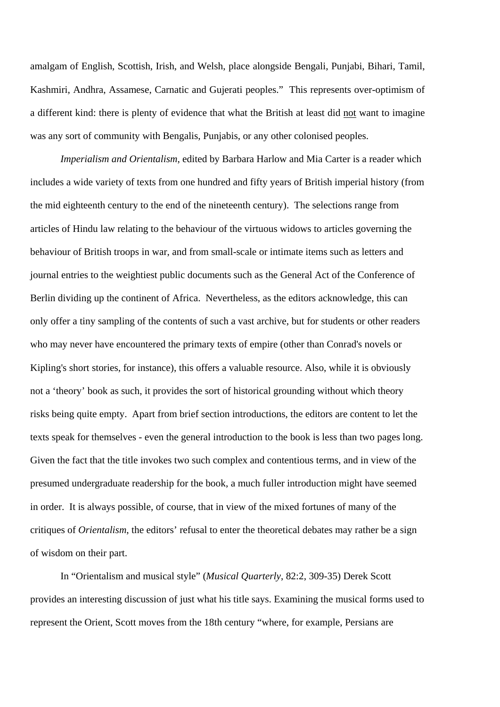amalgam of English, Scottish, Irish, and Welsh, place alongside Bengali, Punjabi, Bihari, Tamil, Kashmiri, Andhra, Assamese, Carnatic and Gujerati peoples." This represents over-optimism of a different kind: there is plenty of evidence that what the British at least did not want to imagine was any sort of community with Bengalis, Punjabis, or any other colonised peoples.

*Imperialism and Orientalism*, edited by Barbara Harlow and Mia Carter is a reader which includes a wide variety of texts from one hundred and fifty years of British imperial history (from the mid eighteenth century to the end of the nineteenth century). The selections range from articles of Hindu law relating to the behaviour of the virtuous widows to articles governing the behaviour of British troops in war, and from small-scale or intimate items such as letters and journal entries to the weightiest public documents such as the General Act of the Conference of Berlin dividing up the continent of Africa. Nevertheless, as the editors acknowledge, this can only offer a tiny sampling of the contents of such a vast archive, but for students or other readers who may never have encountered the primary texts of empire (other than Conrad's novels or Kipling's short stories, for instance), this offers a valuable resource. Also, while it is obviously not a 'theory' book as such, it provides the sort of historical grounding without which theory risks being quite empty. Apart from brief section introductions, the editors are content to let the texts speak for themselves - even the general introduction to the book is less than two pages long. Given the fact that the title invokes two such complex and contentious terms, and in view of the presumed undergraduate readership for the book, a much fuller introduction might have seemed in order. It is always possible, of course, that in view of the mixed fortunes of many of the critiques of *Orientalism*, the editors' refusal to enter the theoretical debates may rather be a sign of wisdom on their part.

In "Orientalism and musical style" (*Musical Quarterly*, 82:2, 309-35) Derek Scott provides an interesting discussion of just what his title says. Examining the musical forms used to represent the Orient, Scott moves from the 18th century "where, for example, Persians are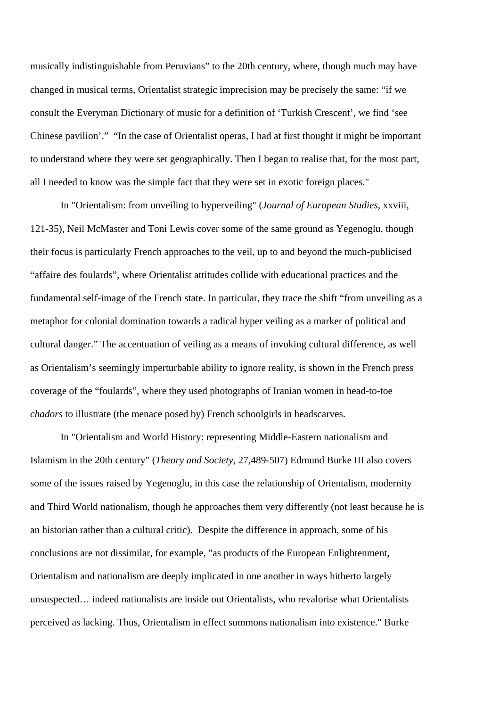musically indistinguishable from Peruvians" to the 20th century, where, though much may have changed in musical terms, Orientalist strategic imprecision may be precisely the same: "if we consult the Everyman Dictionary of music for a definition of 'Turkish Crescent', we find 'see Chinese pavilion'." "In the case of Orientalist operas, I had at first thought it might be important to understand where they were set geographically. Then I began to realise that, for the most part, all I needed to know was the simple fact that they were set in exotic foreign places."

In "Orientalism: from unveiling to hyperveiling" (*Journal of European Studies*, xxviii, 121-35), Neil McMaster and Toni Lewis cover some of the same ground as Yegenoglu, though their focus is particularly French approaches to the veil, up to and beyond the much-publicised "affaire des foulards", where Orientalist attitudes collide with educational practices and the fundamental self-image of the French state. In particular, they trace the shift "from unveiling as a metaphor for colonial domination towards a radical hyper veiling as a marker of political and cultural danger." The accentuation of veiling as a means of invoking cultural difference, as well as Orientalism's seemingly imperturbable ability to ignore reality, is shown in the French press coverage of the "foulards", where they used photographs of Iranian women in head-to-toe *chadors* to illustrate (the menace posed by) French schoolgirls in headscarves.

In "Orientalism and World History: representing Middle-Eastern nationalism and Islamism in the 20th century" (*Theory and Society*, 27,489-507) Edmund Burke III also covers some of the issues raised by Yegenoglu, in this case the relationship of Orientalism, modernity and Third World nationalism, though he approaches them very differently (not least because he is an historian rather than a cultural critic). Despite the difference in approach, some of his conclusions are not dissimilar, for example, "as products of the European Enlightenment, Orientalism and nationalism are deeply implicated in one another in ways hitherto largely unsuspected… indeed nationalists are inside out Orientalists, who revalorise what Orientalists perceived as lacking. Thus, Orientalism in effect summons nationalism into existence." Burke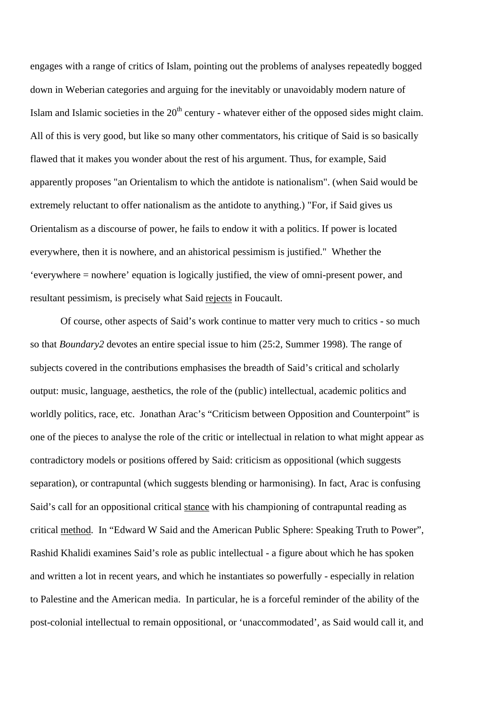engages with a range of critics of Islam, pointing out the problems of analyses repeatedly bogged down in Weberian categories and arguing for the inevitably or unavoidably modern nature of Islam and Islamic societies in the  $20<sup>th</sup>$  century - whatever either of the opposed sides might claim. All of this is very good, but like so many other commentators, his critique of Said is so basically flawed that it makes you wonder about the rest of his argument. Thus, for example, Said apparently proposes "an Orientalism to which the antidote is nationalism". (when Said would be extremely reluctant to offer nationalism as the antidote to anything.) "For, if Said gives us Orientalism as a discourse of power, he fails to endow it with a politics. If power is located everywhere, then it is nowhere, and an ahistorical pessimism is justified." Whether the 'everywhere = nowhere' equation is logically justified, the view of omni-present power, and resultant pessimism, is precisely what Said rejects in Foucault.

Of course, other aspects of Said's work continue to matter very much to critics - so much so that *Boundary2* devotes an entire special issue to him (25:2, Summer 1998). The range of subjects covered in the contributions emphasises the breadth of Said's critical and scholarly output: music, language, aesthetics, the role of the (public) intellectual, academic politics and worldly politics, race, etc. Jonathan Arac's "Criticism between Opposition and Counterpoint" is one of the pieces to analyse the role of the critic or intellectual in relation to what might appear as contradictory models or positions offered by Said: criticism as oppositional (which suggests separation), or contrapuntal (which suggests blending or harmonising). In fact, Arac is confusing Said's call for an oppositional critical stance with his championing of contrapuntal reading as critical method. In "Edward W Said and the American Public Sphere: Speaking Truth to Power", Rashid Khalidi examines Said's role as public intellectual - a figure about which he has spoken and written a lot in recent years, and which he instantiates so powerfully - especially in relation to Palestine and the American media. In particular, he is a forceful reminder of the ability of the post-colonial intellectual to remain oppositional, or 'unaccommodated', as Said would call it, and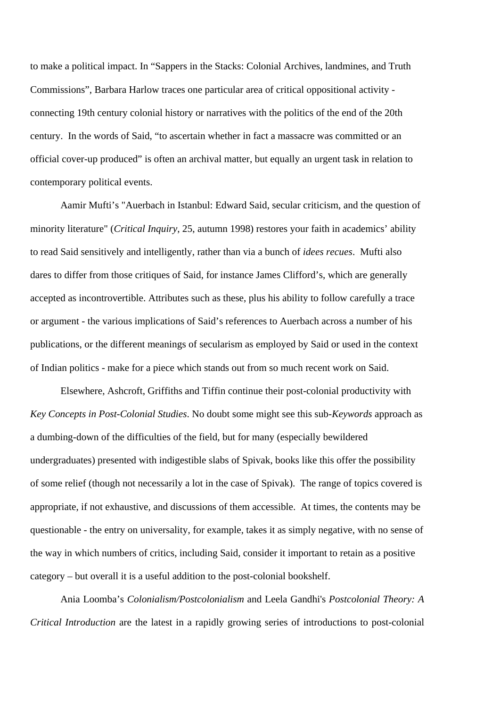to make a political impact. In "Sappers in the Stacks: Colonial Archives, landmines, and Truth Commissions", Barbara Harlow traces one particular area of critical oppositional activity connecting 19th century colonial history or narratives with the politics of the end of the 20th century. In the words of Said, "to ascertain whether in fact a massacre was committed or an official cover-up produced" is often an archival matter, but equally an urgent task in relation to contemporary political events.

Aamir Mufti's "Auerbach in Istanbul: Edward Said, secular criticism, and the question of minority literature" (*Critical Inquiry*, 25, autumn 1998) restores your faith in academics' ability to read Said sensitively and intelligently, rather than via a bunch of *idees recues*. Mufti also dares to differ from those critiques of Said, for instance James Clifford's, which are generally accepted as incontrovertible. Attributes such as these, plus his ability to follow carefully a trace or argument - the various implications of Said's references to Auerbach across a number of his publications, or the different meanings of secularism as employed by Said or used in the context of Indian politics - make for a piece which stands out from so much recent work on Said.

Elsewhere, Ashcroft, Griffiths and Tiffin continue their post-colonial productivity with *Key Concepts in Post-Colonial Studies*. No doubt some might see this sub-*Keywords* approach as a dumbing-down of the difficulties of the field, but for many (especially bewildered undergraduates) presented with indigestible slabs of Spivak, books like this offer the possibility of some relief (though not necessarily a lot in the case of Spivak). The range of topics covered is appropriate, if not exhaustive, and discussions of them accessible. At times, the contents may be questionable - the entry on universality, for example, takes it as simply negative, with no sense of the way in which numbers of critics, including Said, consider it important to retain as a positive category – but overall it is a useful addition to the post-colonial bookshelf.

Ania Loomba's *Colonialism/Postcolonialism* and Leela Gandhi's *Postcolonial Theory: A Critical Introduction* are the latest in a rapidly growing series of introductions to post-colonial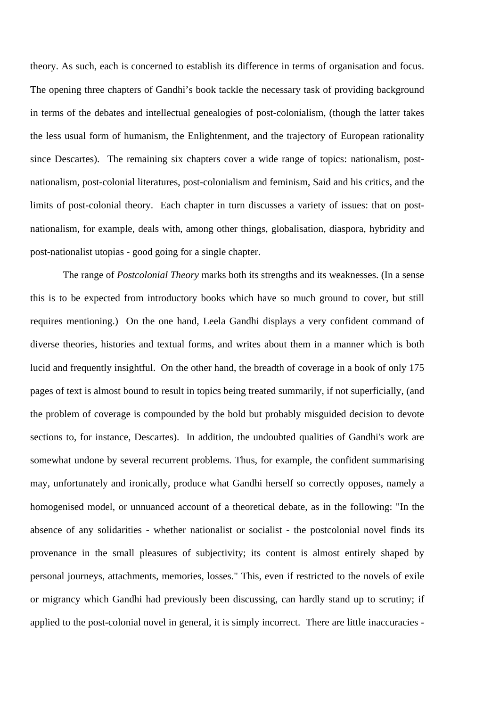theory. As such, each is concerned to establish its difference in terms of organisation and focus. The opening three chapters of Gandhi's book tackle the necessary task of providing background in terms of the debates and intellectual genealogies of post-colonialism, (though the latter takes the less usual form of humanism, the Enlightenment, and the trajectory of European rationality since Descartes). The remaining six chapters cover a wide range of topics: nationalism, postnationalism, post-colonial literatures, post-colonialism and feminism, Said and his critics, and the limits of post-colonial theory. Each chapter in turn discusses a variety of issues: that on postnationalism, for example, deals with, among other things, globalisation, diaspora, hybridity and post-nationalist utopias - good going for a single chapter.

 The range of *Postcolonial Theory* marks both its strengths and its weaknesses. (In a sense this is to be expected from introductory books which have so much ground to cover, but still requires mentioning.) On the one hand, Leela Gandhi displays a very confident command of diverse theories, histories and textual forms, and writes about them in a manner which is both lucid and frequently insightful. On the other hand, the breadth of coverage in a book of only 175 pages of text is almost bound to result in topics being treated summarily, if not superficially, (and the problem of coverage is compounded by the bold but probably misguided decision to devote sections to, for instance, Descartes). In addition, the undoubted qualities of Gandhi's work are somewhat undone by several recurrent problems. Thus, for example, the confident summarising may, unfortunately and ironically, produce what Gandhi herself so correctly opposes, namely a homogenised model, or unnuanced account of a theoretical debate, as in the following: "In the absence of any solidarities - whether nationalist or socialist - the postcolonial novel finds its provenance in the small pleasures of subjectivity; its content is almost entirely shaped by personal journeys, attachments, memories, losses." This, even if restricted to the novels of exile or migrancy which Gandhi had previously been discussing, can hardly stand up to scrutiny; if applied to the post-colonial novel in general, it is simply incorrect. There are little inaccuracies -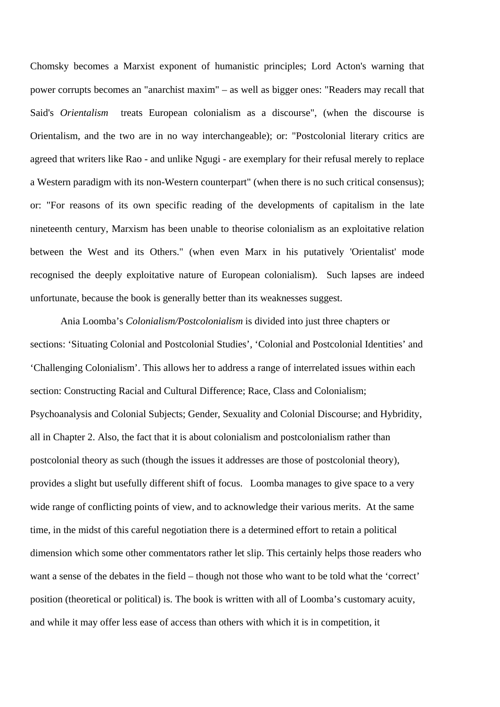Chomsky becomes a Marxist exponent of humanistic principles; Lord Acton's warning that power corrupts becomes an "anarchist maxim" – as well as bigger ones: "Readers may recall that Said's *Orientalism* treats European colonialism as a discourse", (when the discourse is Orientalism, and the two are in no way interchangeable); or: "Postcolonial literary critics are agreed that writers like Rao - and unlike Ngugi - are exemplary for their refusal merely to replace a Western paradigm with its non-Western counterpart" (when there is no such critical consensus); or: "For reasons of its own specific reading of the developments of capitalism in the late nineteenth century, Marxism has been unable to theorise colonialism as an exploitative relation between the West and its Others." (when even Marx in his putatively 'Orientalist' mode recognised the deeply exploitative nature of European colonialism). Such lapses are indeed unfortunate, because the book is generally better than its weaknesses suggest.

Ania Loomba's *Colonialism/Postcolonialism* is divided into just three chapters or sections: 'Situating Colonial and Postcolonial Studies', 'Colonial and Postcolonial Identities' and 'Challenging Colonialism'. This allows her to address a range of interrelated issues within each section: Constructing Racial and Cultural Difference; Race, Class and Colonialism; Psychoanalysis and Colonial Subjects; Gender, Sexuality and Colonial Discourse; and Hybridity, all in Chapter 2. Also, the fact that it is about colonialism and postcolonialism rather than postcolonial theory as such (though the issues it addresses are those of postcolonial theory), provides a slight but usefully different shift of focus. Loomba manages to give space to a very wide range of conflicting points of view, and to acknowledge their various merits. At the same time, in the midst of this careful negotiation there is a determined effort to retain a political dimension which some other commentators rather let slip. This certainly helps those readers who want a sense of the debates in the field – though not those who want to be told what the 'correct' position (theoretical or political) is. The book is written with all of Loomba's customary acuity, and while it may offer less ease of access than others with which it is in competition, it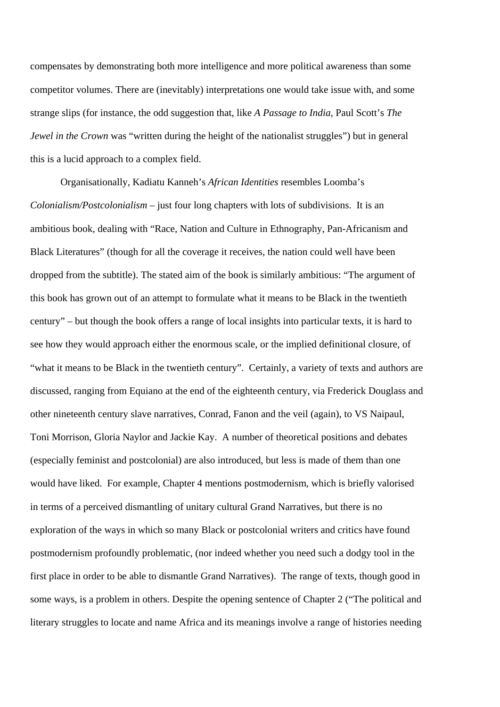compensates by demonstrating both more intelligence and more political awareness than some competitor volumes. There are (inevitably) interpretations one would take issue with, and some strange slips (for instance, the odd suggestion that, like *A Passage to India*, Paul Scott's *The Jewel in the Crown* was "written during the height of the nationalist struggles") but in general this is a lucid approach to a complex field.

Organisationally, Kadiatu Kanneh's *African Identities* resembles Loomba's *Colonialism/Postcolonialism* – just four long chapters with lots of subdivisions. It is an ambitious book, dealing with "Race, Nation and Culture in Ethnography, Pan-Africanism and Black Literatures" (though for all the coverage it receives, the nation could well have been dropped from the subtitle). The stated aim of the book is similarly ambitious: "The argument of this book has grown out of an attempt to formulate what it means to be Black in the twentieth century" – but though the book offers a range of local insights into particular texts, it is hard to see how they would approach either the enormous scale, or the implied definitional closure, of "what it means to be Black in the twentieth century". Certainly, a variety of texts and authors are discussed, ranging from Equiano at the end of the eighteenth century, via Frederick Douglass and other nineteenth century slave narratives, Conrad, Fanon and the veil (again), to VS Naipaul, Toni Morrison, Gloria Naylor and Jackie Kay. A number of theoretical positions and debates (especially feminist and postcolonial) are also introduced, but less is made of them than one would have liked. For example, Chapter 4 mentions postmodernism, which is briefly valorised in terms of a perceived dismantling of unitary cultural Grand Narratives, but there is no exploration of the ways in which so many Black or postcolonial writers and critics have found postmodernism profoundly problematic, (nor indeed whether you need such a dodgy tool in the first place in order to be able to dismantle Grand Narratives). The range of texts, though good in some ways, is a problem in others. Despite the opening sentence of Chapter 2 ("The political and literary struggles to locate and name Africa and its meanings involve a range of histories needing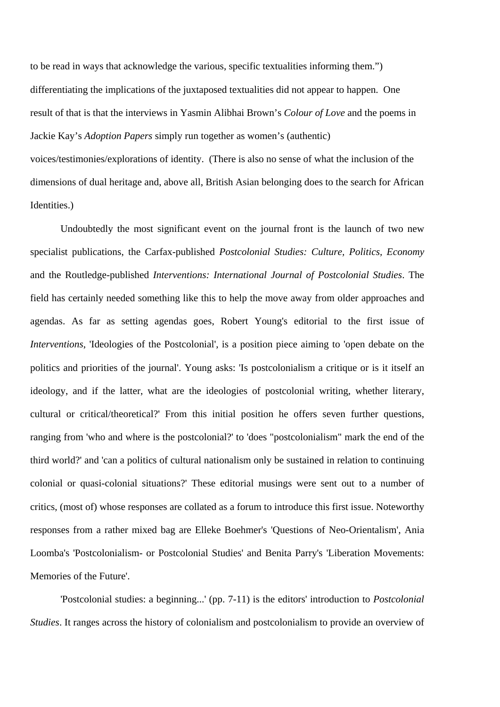to be read in ways that acknowledge the various, specific textualities informing them.") differentiating the implications of the juxtaposed textualities did not appear to happen. One result of that is that the interviews in Yasmin Alibhai Brown's *Colour of Love* and the poems in Jackie Kay's *Adoption Papers* simply run together as women's (authentic) voices/testimonies/explorations of identity. (There is also no sense of what the inclusion of the dimensions of dual heritage and, above all, British Asian belonging does to the search for African Identities.)

Undoubtedly the most significant event on the journal front is the launch of two new specialist publications, the Carfax-published *Postcolonial Studies: Culture, Politics, Economy* and the Routledge-published *Interventions: International Journal of Postcolonial Studies*. The field has certainly needed something like this to help the move away from older approaches and agendas. As far as setting agendas goes, Robert Young's editorial to the first issue of *Interventions*, 'Ideologies of the Postcolonial', is a position piece aiming to 'open debate on the politics and priorities of the journal'. Young asks: 'Is postcolonialism a critique or is it itself an ideology, and if the latter, what are the ideologies of postcolonial writing, whether literary, cultural or critical/theoretical?' From this initial position he offers seven further questions, ranging from 'who and where is the postcolonial?' to 'does "postcolonialism" mark the end of the third world?' and 'can a politics of cultural nationalism only be sustained in relation to continuing colonial or quasi-colonial situations?' These editorial musings were sent out to a number of critics, (most of) whose responses are collated as a forum to introduce this first issue. Noteworthy responses from a rather mixed bag are Elleke Boehmer's 'Questions of Neo-Orientalism', Ania Loomba's 'Postcolonialism- or Postcolonial Studies' and Benita Parry's 'Liberation Movements: Memories of the Future'.

 'Postcolonial studies: a beginning...' (pp. 7-11) is the editors' introduction to *Postcolonial Studies*. It ranges across the history of colonialism and postcolonialism to provide an overview of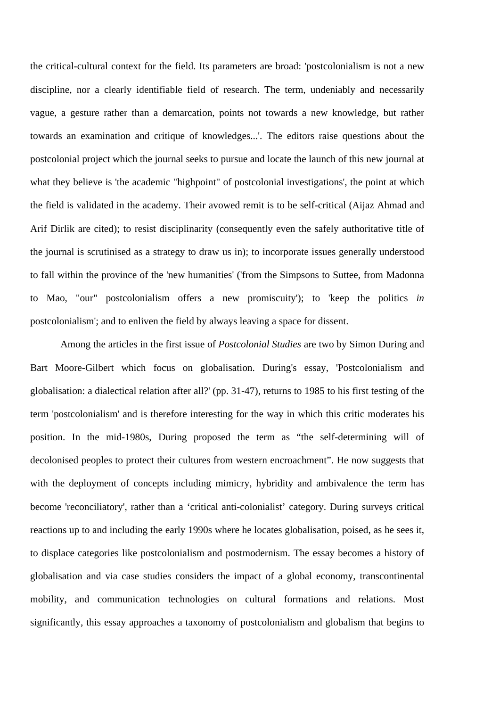the critical-cultural context for the field. Its parameters are broad: 'postcolonialism is not a new discipline, nor a clearly identifiable field of research. The term, undeniably and necessarily vague, a gesture rather than a demarcation, points not towards a new knowledge, but rather towards an examination and critique of knowledges...'. The editors raise questions about the postcolonial project which the journal seeks to pursue and locate the launch of this new journal at what they believe is 'the academic "highpoint" of postcolonial investigations', the point at which the field is validated in the academy. Their avowed remit is to be self-critical (Aijaz Ahmad and Arif Dirlik are cited); to resist disciplinarity (consequently even the safely authoritative title of the journal is scrutinised as a strategy to draw us in); to incorporate issues generally understood to fall within the province of the 'new humanities' ('from the Simpsons to Suttee, from Madonna to Mao, "our" postcolonialism offers a new promiscuity'); to 'keep the politics *in* postcolonialism'; and to enliven the field by always leaving a space for dissent.

 Among the articles in the first issue of *Postcolonial Studies* are two by Simon During and Bart Moore-Gilbert which focus on globalisation. During's essay, 'Postcolonialism and globalisation: a dialectical relation after all?' (pp. 31-47), returns to 1985 to his first testing of the term 'postcolonialism' and is therefore interesting for the way in which this critic moderates his position. In the mid-1980s, During proposed the term as "the self-determining will of decolonised peoples to protect their cultures from western encroachment". He now suggests that with the deployment of concepts including mimicry, hybridity and ambivalence the term has become 'reconciliatory', rather than a 'critical anti-colonialist' category. During surveys critical reactions up to and including the early 1990s where he locates globalisation, poised, as he sees it, to displace categories like postcolonialism and postmodernism. The essay becomes a history of globalisation and via case studies considers the impact of a global economy, transcontinental mobility, and communication technologies on cultural formations and relations. Most significantly, this essay approaches a taxonomy of postcolonialism and globalism that begins to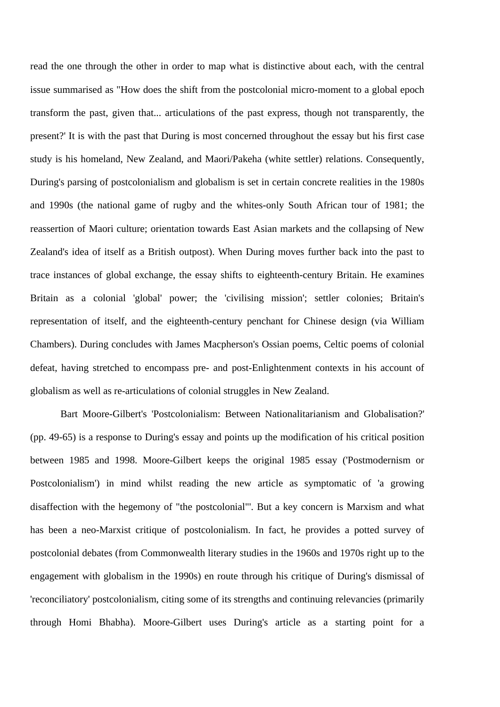read the one through the other in order to map what is distinctive about each, with the central issue summarised as "How does the shift from the postcolonial micro-moment to a global epoch transform the past, given that... articulations of the past express, though not transparently, the present?' It is with the past that During is most concerned throughout the essay but his first case study is his homeland, New Zealand, and Maori/Pakeha (white settler) relations. Consequently, During's parsing of postcolonialism and globalism is set in certain concrete realities in the 1980s and 1990s (the national game of rugby and the whites-only South African tour of 1981; the reassertion of Maori culture; orientation towards East Asian markets and the collapsing of New Zealand's idea of itself as a British outpost). When During moves further back into the past to trace instances of global exchange, the essay shifts to eighteenth-century Britain. He examines Britain as a colonial 'global' power; the 'civilising mission'; settler colonies; Britain's representation of itself, and the eighteenth-century penchant for Chinese design (via William Chambers). During concludes with James Macpherson's Ossian poems, Celtic poems of colonial defeat, having stretched to encompass pre- and post-Enlightenment contexts in his account of globalism as well as re-articulations of colonial struggles in New Zealand.

 Bart Moore-Gilbert's 'Postcolonialism: Between Nationalitarianism and Globalisation?' (pp. 49-65) is a response to During's essay and points up the modification of his critical position between 1985 and 1998. Moore-Gilbert keeps the original 1985 essay ('Postmodernism or Postcolonialism') in mind whilst reading the new article as symptomatic of 'a growing disaffection with the hegemony of "the postcolonial"'. But a key concern is Marxism and what has been a neo-Marxist critique of postcolonialism. In fact, he provides a potted survey of postcolonial debates (from Commonwealth literary studies in the 1960s and 1970s right up to the engagement with globalism in the 1990s) en route through his critique of During's dismissal of 'reconciliatory' postcolonialism, citing some of its strengths and continuing relevancies (primarily through Homi Bhabha). Moore-Gilbert uses During's article as a starting point for a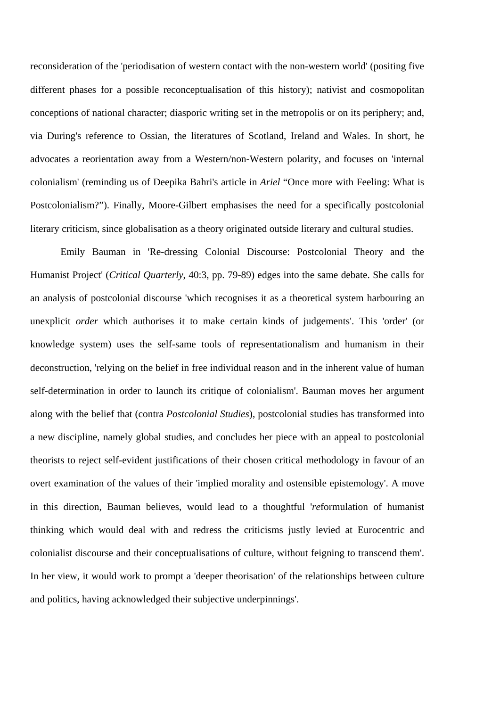reconsideration of the 'periodisation of western contact with the non-western world' (positing five different phases for a possible reconceptualisation of this history); nativist and cosmopolitan conceptions of national character; diasporic writing set in the metropolis or on its periphery; and, via During's reference to Ossian, the literatures of Scotland, Ireland and Wales. In short, he advocates a reorientation away from a Western/non-Western polarity, and focuses on 'internal colonialism' (reminding us of Deepika Bahri's article in *Ariel* "Once more with Feeling: What is Postcolonialism?"). Finally, Moore-Gilbert emphasises the need for a specifically postcolonial literary criticism, since globalisation as a theory originated outside literary and cultural studies.

 Emily Bauman in 'Re-dressing Colonial Discourse: Postcolonial Theory and the Humanist Project' (*Critical Quarterly*, 40:3, pp. 79-89) edges into the same debate. She calls for an analysis of postcolonial discourse 'which recognises it as a theoretical system harbouring an unexplicit *order* which authorises it to make certain kinds of judgements'. This 'order' (or knowledge system) uses the self-same tools of representationalism and humanism in their deconstruction, 'relying on the belief in free individual reason and in the inherent value of human self-determination in order to launch its critique of colonialism'. Bauman moves her argument along with the belief that (contra *Postcolonial Studies*), postcolonial studies has transformed into a new discipline, namely global studies, and concludes her piece with an appeal to postcolonial theorists to reject self-evident justifications of their chosen critical methodology in favour of an overt examination of the values of their 'implied morality and ostensible epistemology'. A move in this direction, Bauman believes, would lead to a thoughtful '*re*formulation of humanist thinking which would deal with and redress the criticisms justly levied at Eurocentric and colonialist discourse and their conceptualisations of culture, without feigning to transcend them'. In her view, it would work to prompt a 'deeper theorisation' of the relationships between culture and politics, having acknowledged their subjective underpinnings'.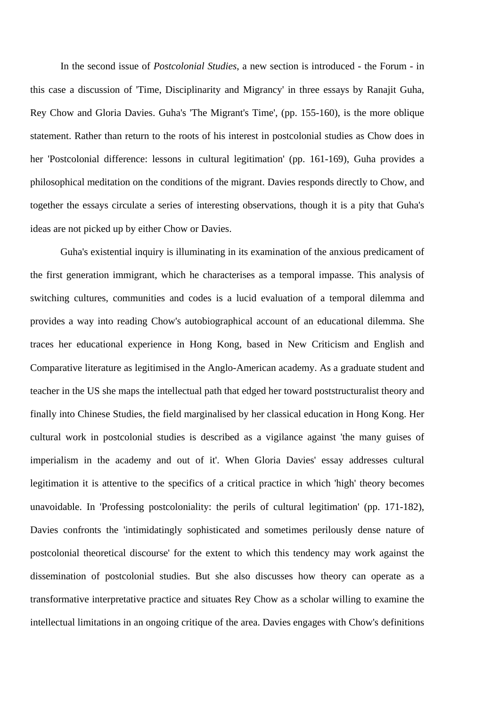In the second issue of *Postcolonial Studies*, a new section is introduced - the Forum - in this case a discussion of 'Time, Disciplinarity and Migrancy' in three essays by Ranajit Guha, Rey Chow and Gloria Davies. Guha's 'The Migrant's Time', (pp. 155-160), is the more oblique statement. Rather than return to the roots of his interest in postcolonial studies as Chow does in her 'Postcolonial difference: lessons in cultural legitimation' (pp. 161-169), Guha provides a philosophical meditation on the conditions of the migrant. Davies responds directly to Chow, and together the essays circulate a series of interesting observations, though it is a pity that Guha's ideas are not picked up by either Chow or Davies.

 Guha's existential inquiry is illuminating in its examination of the anxious predicament of the first generation immigrant, which he characterises as a temporal impasse. This analysis of switching cultures, communities and codes is a lucid evaluation of a temporal dilemma and provides a way into reading Chow's autobiographical account of an educational dilemma. She traces her educational experience in Hong Kong, based in New Criticism and English and Comparative literature as legitimised in the Anglo-American academy. As a graduate student and teacher in the US she maps the intellectual path that edged her toward poststructuralist theory and finally into Chinese Studies, the field marginalised by her classical education in Hong Kong. Her cultural work in postcolonial studies is described as a vigilance against 'the many guises of imperialism in the academy and out of it'. When Gloria Davies' essay addresses cultural legitimation it is attentive to the specifics of a critical practice in which 'high' theory becomes unavoidable. In 'Professing postcoloniality: the perils of cultural legitimation' (pp. 171-182), Davies confronts the 'intimidatingly sophisticated and sometimes perilously dense nature of postcolonial theoretical discourse' for the extent to which this tendency may work against the dissemination of postcolonial studies. But she also discusses how theory can operate as a transformative interpretative practice and situates Rey Chow as a scholar willing to examine the intellectual limitations in an ongoing critique of the area. Davies engages with Chow's definitions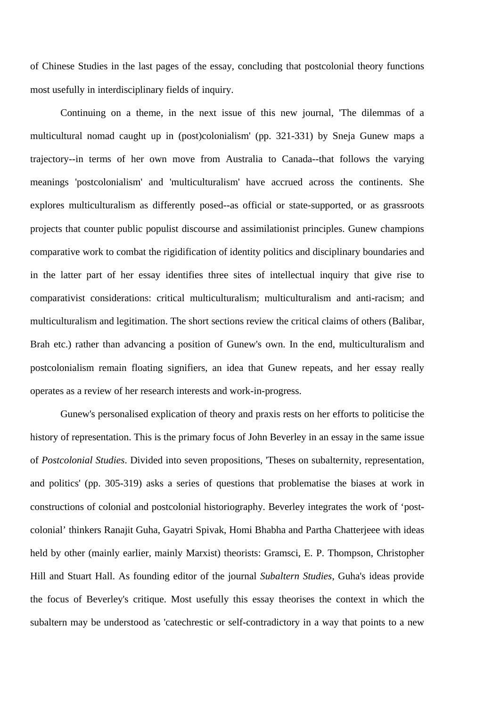of Chinese Studies in the last pages of the essay, concluding that postcolonial theory functions most usefully in interdisciplinary fields of inquiry.

 Continuing on a theme, in the next issue of this new journal, 'The dilemmas of a multicultural nomad caught up in (post)colonialism' (pp. 321-331) by Sneja Gunew maps a trajectory--in terms of her own move from Australia to Canada--that follows the varying meanings 'postcolonialism' and 'multiculturalism' have accrued across the continents. She explores multiculturalism as differently posed--as official or state-supported, or as grassroots projects that counter public populist discourse and assimilationist principles. Gunew champions comparative work to combat the rigidification of identity politics and disciplinary boundaries and in the latter part of her essay identifies three sites of intellectual inquiry that give rise to comparativist considerations: critical multiculturalism; multiculturalism and anti-racism; and multiculturalism and legitimation. The short sections review the critical claims of others (Balibar, Brah etc.) rather than advancing a position of Gunew's own. In the end, multiculturalism and postcolonialism remain floating signifiers, an idea that Gunew repeats, and her essay really operates as a review of her research interests and work-in-progress.

 Gunew's personalised explication of theory and praxis rests on her efforts to politicise the history of representation. This is the primary focus of John Beverley in an essay in the same issue of *Postcolonial Studies*. Divided into seven propositions, 'Theses on subalternity, representation, and politics' (pp. 305-319) asks a series of questions that problematise the biases at work in constructions of colonial and postcolonial historiography. Beverley integrates the work of 'postcolonial' thinkers Ranajit Guha, Gayatri Spivak, Homi Bhabha and Partha Chatterjeee with ideas held by other (mainly earlier, mainly Marxist) theorists: Gramsci, E. P. Thompson, Christopher Hill and Stuart Hall. As founding editor of the journal *Subaltern Studies*, Guha's ideas provide the focus of Beverley's critique. Most usefully this essay theorises the context in which the subaltern may be understood as 'catechrestic or self-contradictory in a way that points to a new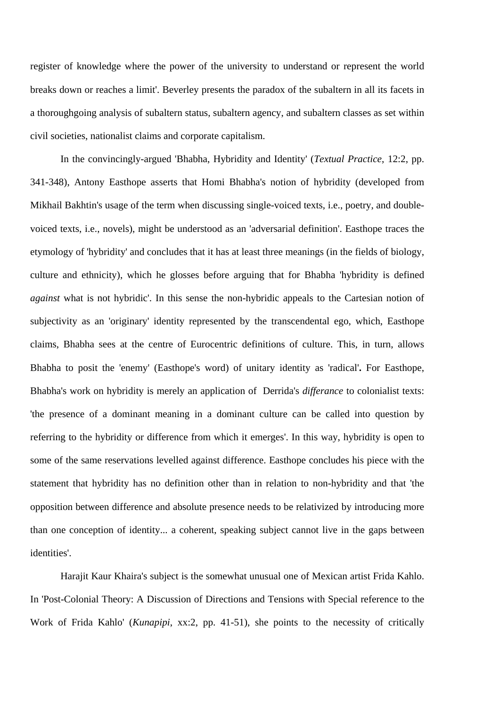register of knowledge where the power of the university to understand or represent the world breaks down or reaches a limit'. Beverley presents the paradox of the subaltern in all its facets in a thoroughgoing analysis of subaltern status, subaltern agency, and subaltern classes as set within civil societies, nationalist claims and corporate capitalism.

 In the convincingly-argued 'Bhabha, Hybridity and Identity' (*Textual Practice*, 12:2, pp. 341-348), Antony Easthope asserts that Homi Bhabha's notion of hybridity (developed from Mikhail Bakhtin's usage of the term when discussing single-voiced texts, i.e., poetry, and doublevoiced texts, i.e., novels), might be understood as an 'adversarial definition'. Easthope traces the etymology of 'hybridity' and concludes that it has at least three meanings (in the fields of biology, culture and ethnicity), which he glosses before arguing that for Bhabha 'hybridity is defined *against* what is not hybridic'. In this sense the non-hybridic appeals to the Cartesian notion of subjectivity as an 'originary' identity represented by the transcendental ego, which, Easthope claims, Bhabha sees at the centre of Eurocentric definitions of culture. This, in turn, allows Bhabha to posit the 'enemy' (Easthope's word) of unitary identity as 'radical'**.** For Easthope, Bhabha's work on hybridity is merely an application of Derrida's *differance* to colonialist texts: 'the presence of a dominant meaning in a dominant culture can be called into question by referring to the hybridity or difference from which it emerges'. In this way, hybridity is open to some of the same reservations levelled against difference. Easthope concludes his piece with the statement that hybridity has no definition other than in relation to non-hybridity and that 'the opposition between difference and absolute presence needs to be relativized by introducing more than one conception of identity... a coherent, speaking subject cannot live in the gaps between identities'.

 Harajit Kaur Khaira's subject is the somewhat unusual one of Mexican artist Frida Kahlo. In 'Post-Colonial Theory: A Discussion of Directions and Tensions with Special reference to the Work of Frida Kahlo' (*Kunapipi*, xx:2, pp. 41-51), she points to the necessity of critically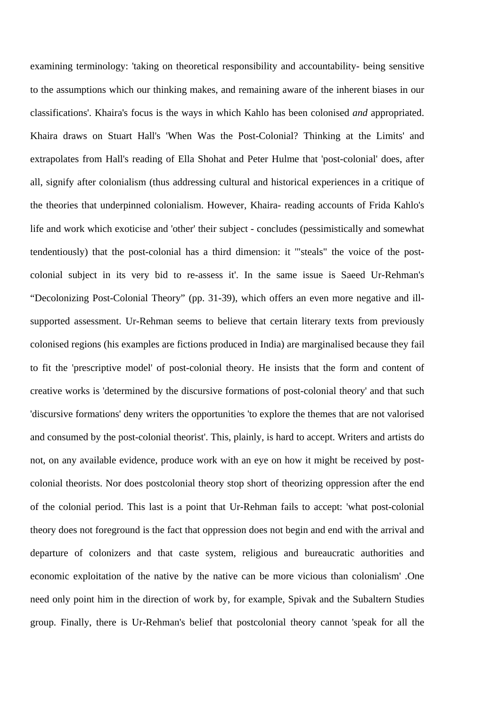examining terminology: 'taking on theoretical responsibility and accountability- being sensitive to the assumptions which our thinking makes, and remaining aware of the inherent biases in our classifications'. Khaira's focus is the ways in which Kahlo has been colonised *and* appropriated. Khaira draws on Stuart Hall's 'When Was the Post-Colonial? Thinking at the Limits' and extrapolates from Hall's reading of Ella Shohat and Peter Hulme that 'post-colonial' does, after all, signify after colonialism (thus addressing cultural and historical experiences in a critique of the theories that underpinned colonialism. However, Khaira- reading accounts of Frida Kahlo's life and work which exoticise and 'other' their subject - concludes (pessimistically and somewhat tendentiously) that the post-colonial has a third dimension: it '"steals" the voice of the postcolonial subject in its very bid to re-assess it'. In the same issue is Saeed Ur-Rehman's "Decolonizing Post-Colonial Theory" (pp. 31-39), which offers an even more negative and illsupported assessment. Ur-Rehman seems to believe that certain literary texts from previously colonised regions (his examples are fictions produced in India) are marginalised because they fail to fit the 'prescriptive model' of post-colonial theory. He insists that the form and content of creative works is 'determined by the discursive formations of post-colonial theory' and that such 'discursive formations' deny writers the opportunities 'to explore the themes that are not valorised and consumed by the post-colonial theorist'. This, plainly, is hard to accept. Writers and artists do not, on any available evidence, produce work with an eye on how it might be received by postcolonial theorists. Nor does postcolonial theory stop short of theorizing oppression after the end of the colonial period. This last is a point that Ur-Rehman fails to accept: 'what post-colonial theory does not foreground is the fact that oppression does not begin and end with the arrival and departure of colonizers and that caste system, religious and bureaucratic authorities and economic exploitation of the native by the native can be more vicious than colonialism' .One need only point him in the direction of work by, for example, Spivak and the Subaltern Studies group. Finally, there is Ur-Rehman's belief that postcolonial theory cannot 'speak for all the